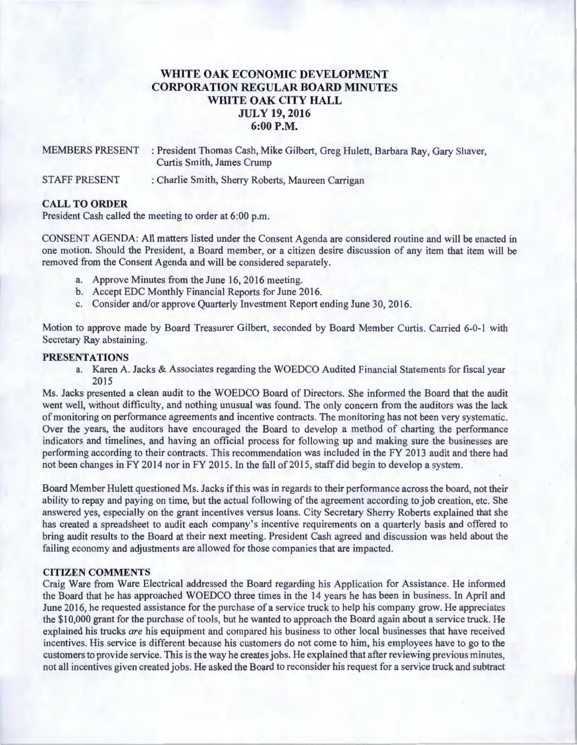# **WHITE OAK ECONOMIC DEVELOPMENT CORPORATION REGULAR BOARD MINUTES WHITE OAK CITY HALL JULY 19, 2016 6:00P.M.**

MEMBERS PRESENT : President Thomas Cash, Mike Gilbert, Greg Hulett, Barbara Ray, Gary Shaver, Curtis Smith, James Crump

STAFF PRESENT : Charlie Smith, Sherry Roberts, Maureen Carrigan

### **CALL TO ORDER**

President Cash called the meeting to order at 6:00 p.m.

CONSENT AGENDA: All matters listed under the Consent Agenda are considered routine and will be enacted in one motion. Should the President, a Board member, or a citizen desire discussion of any item that item will be removed from the Consent Agenda and will be considered separately.

- a. Approve Minutes from the June 16, 2016 meeting.
- b. Accept EDC Monthly Financial Reports for June 2016.
- c. Consider and/or approve Quarterly Investment Report ending June 30, 2016.

Motion to approve made by Board Treasurer Gilbert, seconded by Board Member Curtis. Carried 6-0-1 with Secretary Ray abstaining.

### **PRESENTATIONS**

a. Karen A. Jacks & Associates regarding the WOEDCO Audited Financial Statements for fiscal year 2015

Ms. Jacks presented a clean audit to the WOEDCO Board of Directors. She informed the Board that the audit went well, without difficulty, and nothing unusual was found. The only concern from the auditors was the lack of monitoring on performance agreements and incentive contracts. The monitoring has not been very systematic. Over the years, the auditors have encouraged the Board to develop a method of charting the performance indicators and timelines, and having an official process for following up and making sure the businesses are performing according to their contracts. This recommendation was included in the FY 2013 audit and there had not been changes in FY 2014 nor in FY 2015. In the fall of 2015, staff did begin to develop a system.

Board Member Hulett questioned Ms. Jacks ifthis was in regards to their performance across the board, not their ability to repay and paying on time, but the actual following of the agreement according to job creation, etc. She answered yes, especially on the grant incentives versus loans. City Secretary Sherry Roberts explained that she has created a spreadsheet to audit each company's incentive requirements on a quarterly basis and offered to bring audit results to the Board at their next meeting. President Cash agreed and discussion was held about the failing economy and adjustments are allowed for those companies that are impacted.

### **CITIZEN COMMENTS**

Craig Ware from Ware Electrical addressed the Board regarding his Application for Assistance. He informed the Board that he has approached WOEDCO three times in the 14 years he has been in business. In April and June 2016, he requested assistance for the purchase of a service truck to help his company grow. He appreciates the \$10,000 grant for the purchase of tools, but he wanted to approach the Board again about a service truck. He explained his trucks *are* his equipment and compared his business to other local businesses that have received incentives. His service is different because his customers do not come to him, his employees have to go to the customers to provide service. This is the way he creates jobs. He explained that after reviewing previous minutes, not all incentives given created jobs. He asked the Board to reconsider his request for a service truck and subtract